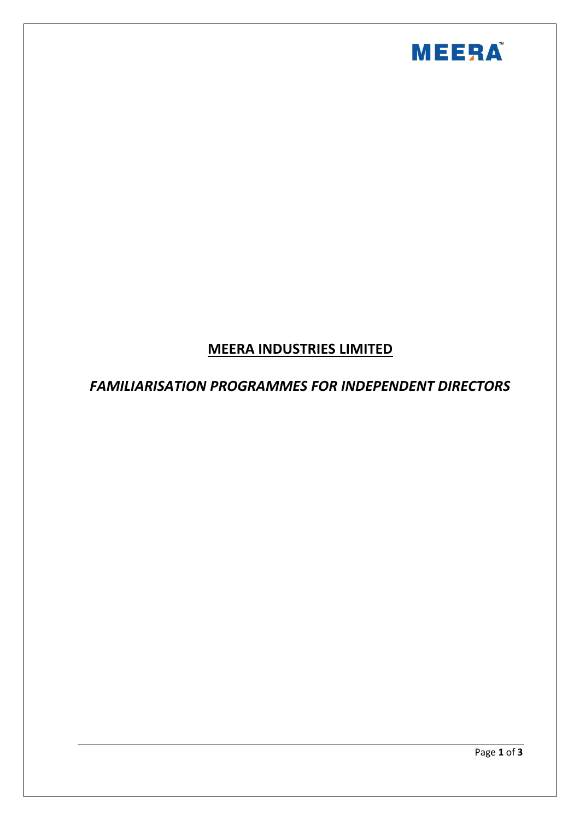

# **MEERA INDUSTRIES LIMITED**

## *FAMILIARISATION PROGRAMMES FOR INDEPENDENT DIRECTORS*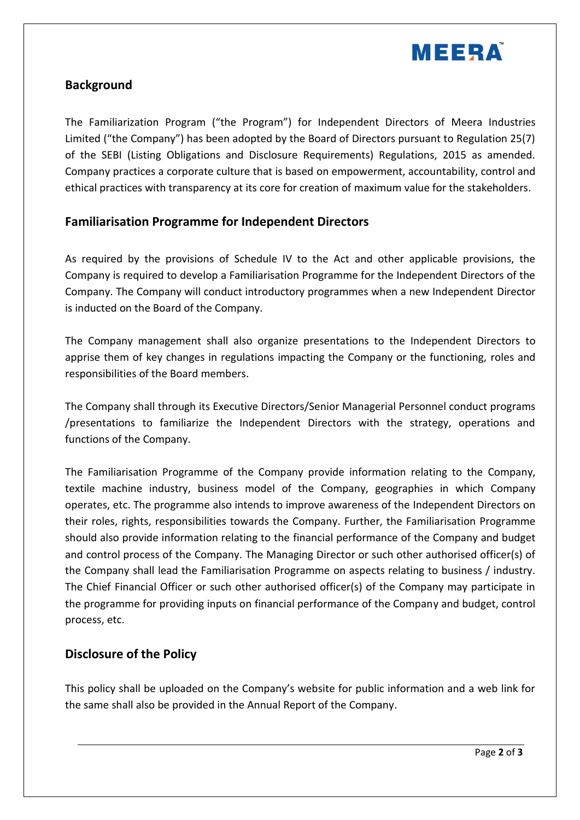

#### **Background**

The Familiarization Program ("the Program") for Independent Directors of Meera Industries Limited ("the Company") has been adopted by the Board of Directors pursuant to Regulation 25(7) of the SEBI (Listing Obligations and Disclosure Requirements) Regulations, 2015 as amended. Company practices a corporate culture that is based on empowerment, accountability, control and ethical practices with transparency at its core for creation of maximum value for the stakeholders.

#### **Familiarisation Programme for Independent Directors**

As required by the provisions of Schedule IV to the Act and other applicable provisions, the Company is required to develop a Familiarisation Programme for the Independent Directors of the Company. The Company will conduct introductory programmes when a new Independent Director is inducted on the Board of the Company.

The Company management shall also organize presentations to the Independent Directors to apprise them of key changes in regulations impacting the Company or the functioning, roles and responsibilities of the Board members.

The Company shall through its Executive Directors/Senior Managerial Personnel conduct programs /presentations to familiarize the Independent Directors with the strategy, operations and functions of the Company.

The Familiarisation Programme of the Company provide information relating to the Company, textile machine industry, business model of the Company, geographies in which Company operates, etc. The programme also intends to improve awareness of the Independent Directors on their roles, rights, responsibilities towards the Company. Further, the Familiarisation Programme should also provide information relating to the financial performance of the Company and budget and control process of the Company. The Managing Director or such other authorised officer(s) of the Company shall lead the Familiarisation Programme on aspects relating to business / industry. The Chief Financial Officer or such other authorised officer(s) of the Company may participate in the programme for providing inputs on financial performance of the Company and budget, control process, etc.

#### **Disclosure of the Policy**

This policy shall be uploaded on the Company's website for public information and a web link for the same shall also be provided in the Annual Report of the Company.